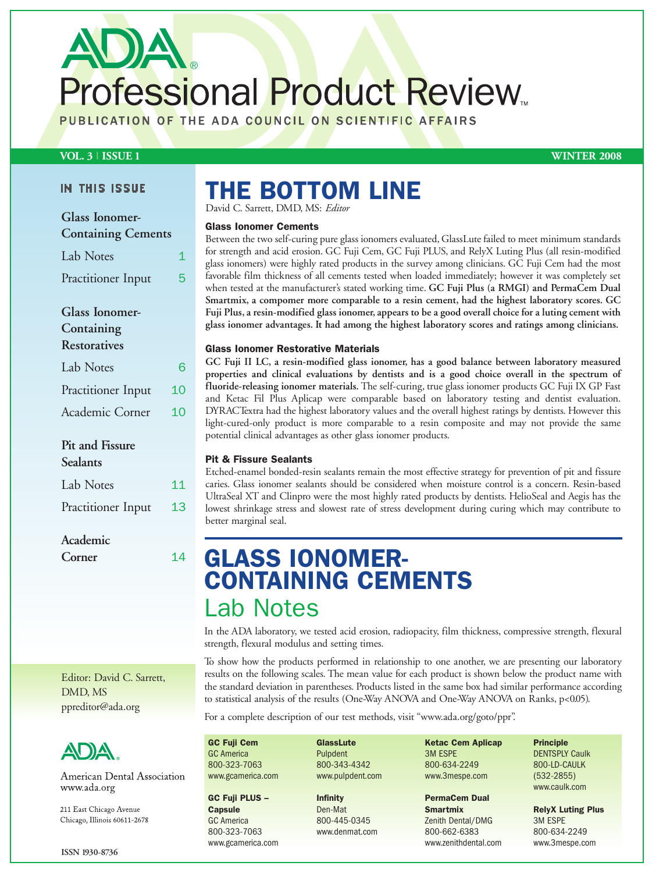Professional Product Review.

PUBLICATION OF THE ADA COUNCIL ON SCIENTIFIC AFFAIRS

## **VOL. 3 | ISSUE 1 WINTER 2008**

## IN THIS ISSUE

| <b>Glass Ionomer-</b><br><b>Containing Cements</b>         |    |
|------------------------------------------------------------|----|
| Lab Notes                                                  | 1  |
| Practitioner Input                                         | 5  |
| <b>Glass Ionomer-</b><br>Containing<br><b>Restoratives</b> |    |
| Lab Notes                                                  | 6  |
| Practitioner Input                                         | 10 |
| Academic Corner                                            | 10 |
| Pit and Fissure<br>Sealants                                |    |
| Lab Notes                                                  | 11 |
| Practitioner Input                                         | 13 |

## **Academic**

**Corner** 14

Editor: David C. Sarrett, DMD, MS ppreditor@ada.org



American Dental Association www.ada.org

211 East Chicago Avenue Chicago, Illinois 60611-2678

# **THE BOTTOM LINE**

David C. Sarrett, DMD, MS: *Editor*

## **Glass Ionomer Cements**

Between the two self-curing pure glass ionomers evaluated, GlassLute failed to meet minimum standards for strength and acid erosion. GC Fuji Cem, GC Fuji PLUS, and RelyX Luting Plus (all resin-modified glass ionomers) were highly rated products in the survey among clinicians. GC Fuji Cem had the most favorable film thickness of all cements tested when loaded immediately; however it was completely set when tested at the manufacturer's stated working time. **GC Fuji Plus (a RMGI) and PermaCem Dual Smartmix, a compomer more comparable to a resin cement, had the highest laboratory scores. GC Fuji Plus, a resin-modified glass ionomer, appears to be a good overall choice for a luting cement with glass ionomer advantages. It had among the highest laboratory scores and ratings among clinicians.**

## **Glass Ionomer Restorative Materials**

**GC Fuji II LC, a resin-modified glass ionomer, has a good balance between laboratory measured properties and clinical evaluations by dentists and is a good choice overall in the spectrum of fluoride-releasing ionomer materials.** The self-curing, true glass ionomer products GC Fuji IX GP Fast and Ketac Fil Plus Aplicap were comparable based on laboratory testing and dentist evaluation. DYRACTextra had the highest laboratory values and the overall highest ratings by dentists. However this light-cured-only product is more comparable to a resin composite and may not provide the same potential clinical advantages as other glass ionomer products.

## **Pit & Fissure Sealants**

Etched-enamel bonded-resin sealants remain the most effective strategy for prevention of pit and fissure caries. Glass ionomer sealants should be considered when moisture control is a concern. Resin-based UltraSeal XT and Clinpro were the most highly rated products by dentists. HelioSeal and Aegis has the lowest shrinkage stress and slowest rate of stress development during curing which may contribute to better marginal seal.

## **GLASS IONOMER-CONTAINING CEMENTS** Lab Notes

In the ADA laboratory, we tested acid erosion, radiopacity, film thickness, compressive strength, flexural strength, flexural modulus and setting times.

To show how the products performed in relationship to one another, we are presenting our laboratory results on the following scales. The mean value for each product is shown below the product name with the standard deviation in parentheses. Products listed in the same box had similar performance according to statistical analysis of the results (One-Way ANOVA and One-Way ANOVA on Ranks, p<0.05).

For a complete description of our test methods, visit "www.ada.org/goto/ppr".

**GC Fuji Cem** GC America 800-323-7063 www.gcamerica.com

#### **GC Fuji PLUS –**

**Capsule** GC America 800-323-7063 www.gcamerica.com **GlassLute** Pulpdent 800-343-4342 www.pulpdent.com

**Infinity** Den-Mat 800-445-0345 www.denmat.com **Ketac Cem Aplicap** 3M ESPE 800-634-2249 www.3mespe.com

**PermaCem Dual Smartmix**  Zenith Dental/DMG 800-662-6383 www.zenithdental.com

**Principle** DENTSPLY Caulk 800-LD-CAULK (532-2855) www.caulk.com

**RelyX Luting Plus** 3M ESPE 800-634-2249 www.3mespe.com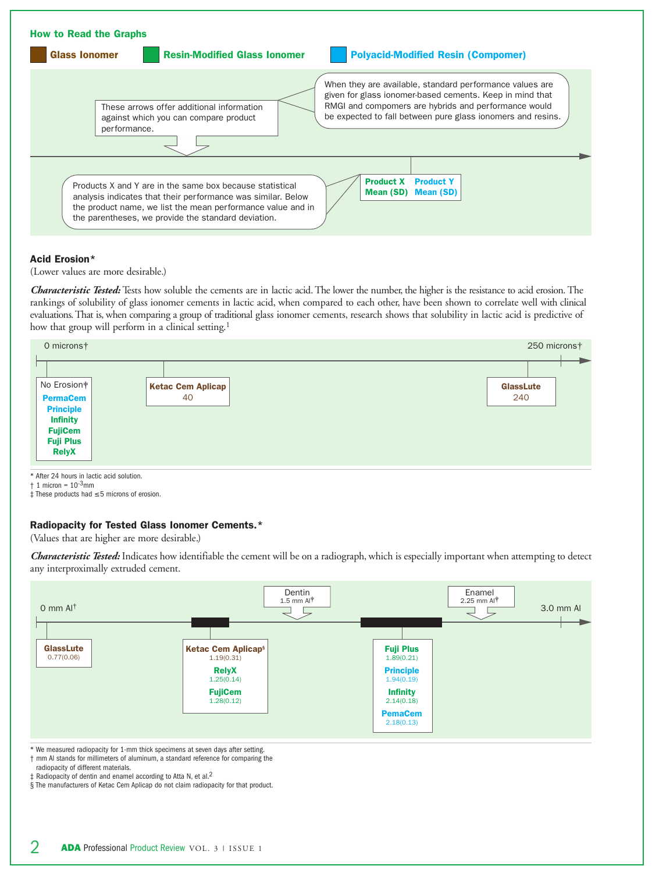

## **Acid Erosion\***

(Lower values are more desirable.)

*Characteristic Tested:* Tests how soluble the cements are in lactic acid. The lower the number, the higher is the resistance to acid erosion. The rankings of solubility of glass ionomer cements in lactic acid, when compared to each other, have been shown to correlate well with clinical evaluations. That is, when comparing a group of traditional glass ionomer cements, research shows that solubility in lactic acid is predictive of how that group will perform in a clinical setting.<sup>1</sup>

| 0 micronst                                                                                                   |                          | 250 micronst     |  |
|--------------------------------------------------------------------------------------------------------------|--------------------------|------------------|--|
|                                                                                                              |                          |                  |  |
| No Erosion*                                                                                                  | <b>Ketac Cem Aplicap</b> | <b>GlassLute</b> |  |
| <b>PermaCem</b><br><b>Principle</b><br><b>Infinity</b><br><b>FujiCem</b><br><b>Fuji Plus</b><br><b>RelyX</b> | 40                       | 240              |  |

\* After 24 hours in lactic acid solution.

 $\dagger$  1 micron =  $10^{-3}$ mm

‡ These products had ≤ 5 microns of erosion.

## **Radiopacity for Tested Glass Ionomer Cements.\***

(Values that are higher are more desirable.)

*Characteristic Tested:* Indicates how identifiable the cement will be on a radiograph, which is especially important when attempting to detect any interproximally extruded cement.



\* We measured radiopacity for 1-mm thick specimens at seven days after setting.

- † mm Al stands for millimeters of aluminum, a standard reference for comparing the
- radiopacity of different materials. ‡ Radiopacity of dentin and enamel according to Atta N, et al.2

§ The manufacturers of Ketac Cem Aplicap do not claim radiopacity for that product.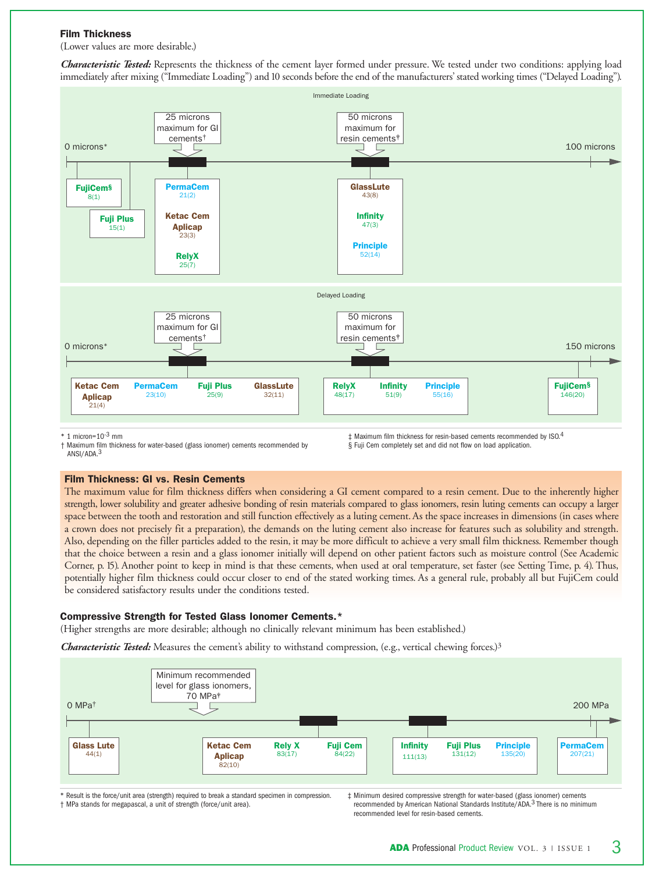### **Film Thickness**

(Lower values are more desirable.)

*Characteristic Tested:* Represents the thickness of the cement layer formed under pressure. We tested under two conditions: applying load immediately after mixing ("Immediate Loading") and 10 seconds before the end of the manufacturers' stated working times ("Delayed Loading").



 $*$  1 micron=10<sup>-3</sup> mm

† Maximum film thickness for water-based (glass ionomer) cements recommended by ANSI/ADA.3

### **Film Thickness: GI vs. Resin Cements**

The maximum value for film thickness differs when considering a GI cement compared to a resin cement. Due to the inherently higher strength, lower solubility and greater adhesive bonding of resin materials compared to glass ionomers, resin luting cements can occupy a larger space between the tooth and restoration and still function effectively as a luting cement. As the space increases in dimensions (in cases where a crown does not precisely fit a preparation), the demands on the luting cement also increase for features such as solubility and strength. Also, depending on the filler particles added to the resin, it may be more difficult to achieve a very small film thickness. Remember though that the choice between a resin and a glass ionomer initially will depend on other patient factors such as moisture control (See Academic Corner, p. 15). Another point to keep in mind is that these cements, when used at oral temperature, set faster (see Setting Time, p. 4). Thus, potentially higher film thickness could occur closer to end of the stated working times. As a general rule, probably all but FujiCem could be considered satisfactory results under the conditions tested.

## **Compressive Strength for Tested Glass Ionomer Cements.\***

(Higher strengths are more desirable; although no clinically relevant minimum has been established.)

*Characteristic Tested:* Measures the cement's ability to withstand compression, (e.g., vertical chewing forces.)3



\* Result is the force/unit area (strength) required to break a standard specimen in compression. † MPa stands for megapascal, a unit of strength (force/unit area).

‡ Minimum desired compressive strength for water-based (glass ionomer) cements recommended by American National Standards Institute/ADA.3 There is no minimum recommended level for resin-based cements.

§ Fuji Cem completely set and did not flow on load application.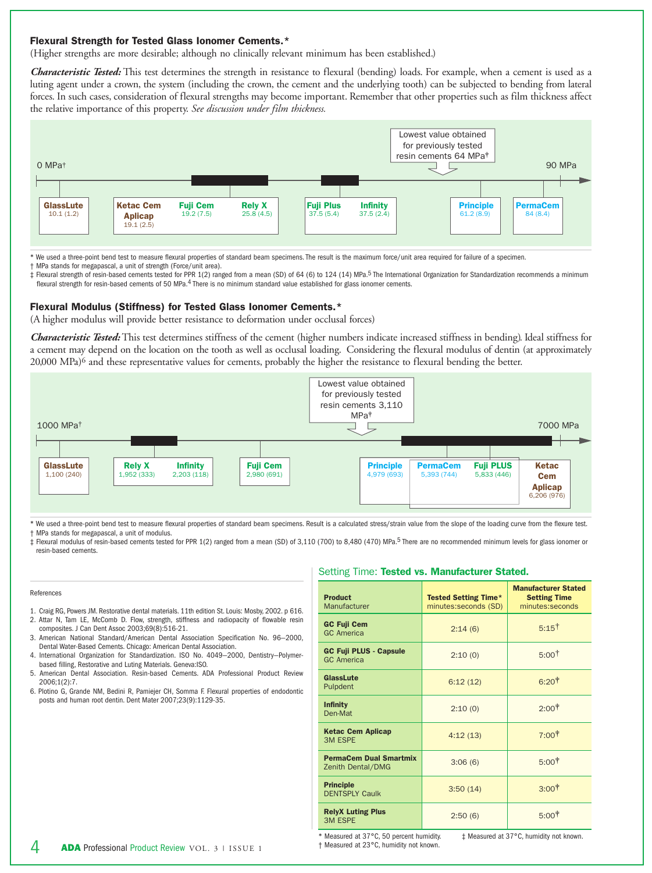### **Flexural Strength for Tested Glass Ionomer Cements.\***

(Higher strengths are more desirable; although no clinically relevant minimum has been established.)

*Characteristic Tested:* This test determines the strength in resistance to flexural (bending) loads. For example, when a cement is used as a luting agent under a crown, the system (including the crown, the cement and the underlying tooth) can be subjected to bending from lateral forces. In such cases, consideration of flexural strengths may become important. Remember that other properties such as film thickness affect the relative importance of this property. *See discussion under film thickness.*



\* We used a three-point bend test to measure flexural properties of standard beam specimens. The result is the maximum force/unit area required for failure of a specimen.

† MPa stands for megapascal, a unit of strength (Force/unit area).

‡ Flexural strength of resin-based cements tested for PPR 1(2) ranged from a mean (SD) of 64 (6) to 124 (14) MPa.5 The International Organization for Standardization recommends a minimum flexural strength for resin-based cements of 50 MPa.<sup>4</sup> There is no minimum standard value established for glass ionomer cements.

#### **Flexural Modulus (Stiffness) for Tested Glass Ionomer Cements.\***

(A higher modulus will provide better resistance to deformation under occlusal forces)

*Characteristic Tested:* This test determines stiffness of the cement (higher numbers indicate increased stiffness in bending). Ideal stiffness for a cement may depend on the location on the tooth as well as occlusal loading. Considering the flexural modulus of dentin (at approximately 20,000 MPa)<sup>6</sup> and these representative values for cements, probably the higher the resistance to flexural bending the better.



\* We used a three-point bend test to measure flexural properties of standard beam specimens. Result is a calculated stress/strain value from the slope of the loading curve from the flexure test. † MPa stands for megapascal, a unit of modulus.

‡ Flexural modulus of resin-based cements tested for PPR 1(2) ranged from a mean (SD) of 3,110 (700) to 8,480 (470) MPa.5 There are no recommended minimum levels for glass ionomer or resin-based cements.

#### References

- 1. Craig RG, Powers JM. Restorative dental materials. 11th edition St. Louis: Mosby, 2002. p 616.
- 2. Attar N, Tam LE, McComb D. Flow, strength, stiffness and radiopacity of flowable resin composites. J Can Dent Assoc 2003;69(8):516-21.
- 3. American National Standard/American Dental Association Specification No. 96—2000, Dental Water-Based Cements. Chicago: American Dental Association.
- 4. International Organization for Standardization. ISO No. 4049—2000, Dentistry—Polymerbased filling, Restorative and Luting Materials. Geneva:ISO.
- 5. American Dental Association. Resin-based Cements. ADA Professional Product Review 2006;1(2):7.
- 6. Plotino G, Grande NM, Bedini R, Pamiejer CH, Somma F. Flexural properties of endodontic posts and human root dentin. Dent Mater 2007;23(9):1129-35.

#### Setting Time: **Tested vs. Manufacturer Stated.**

| <b>Product</b><br>Manufacturer                     | <b>Tested Setting Time*</b><br>minutes:seconds (SD) | <b>Manufacturer Stated</b><br><b>Setting Time</b><br>minutes:seconds |
|----------------------------------------------------|-----------------------------------------------------|----------------------------------------------------------------------|
| <b>GC Fuji Cem</b><br><b>GC</b> America            | 2:14(6)                                             | $5:15^{\dagger}$                                                     |
| <b>GC Fuji PLUS - Capsule</b><br><b>GC</b> America | 2:10(0)                                             | 5:00 <sup>†</sup>                                                    |
| GlassLute<br>Pulpdent                              | 6:12(12)                                            | 6:20 <sup>†</sup>                                                    |
| <b>Infinity</b><br>Den-Mat                         | 2:10(0)                                             | $2:00^+$                                                             |
| <b>Ketac Cem Aplicap</b><br><b>3M ESPE</b>         | 4:12(13)                                            | $7:00^+$                                                             |
| <b>PermaCem Dual Smartmix</b><br>Zenith Dental/DMG | 3:06(6)                                             | $5:00^+$                                                             |
| <b>Principle</b><br><b>DENTSPLY Caulk</b>          | 3:50(14)                                            | $3:00^{\dagger}$                                                     |
| <b>RelyX Luting Plus</b><br><b>3M ESPE</b>         | 2:50(6)                                             | $5:00^+$                                                             |

\* Measured at 37°C, 50 percent humidity. † Measured at 23°C, humidity not known. ‡ Measured at 37°C, humidity not known.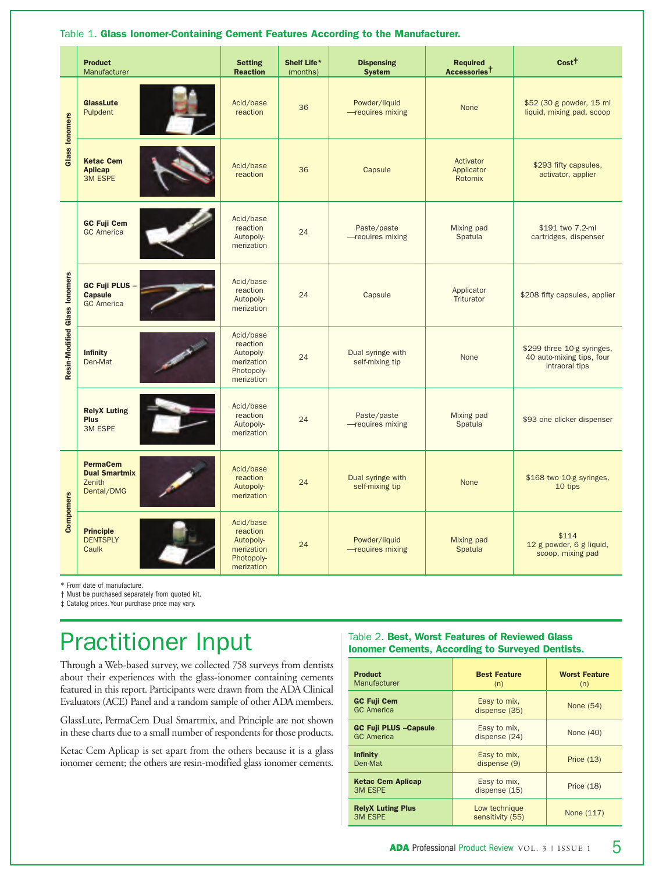|                               | <b>Product</b><br>Manufacturer                                  | <b>Setting</b><br><b>Reaction</b>                                            | Shelf Life*<br>(months) | <b>Dispensing</b><br><b>System</b>   | <b>Required</b><br>Accessories <sup>†</sup> | Cost <sup>†</sup>                                                         |
|-------------------------------|-----------------------------------------------------------------|------------------------------------------------------------------------------|-------------------------|--------------------------------------|---------------------------------------------|---------------------------------------------------------------------------|
| <b>Glass lonomers</b>         | <b>GlassLute</b><br>Pulpdent                                    | Acid/base<br>reaction                                                        | 36                      | Powder/liquid<br>-requires mixing    | None                                        | \$52 (30 g powder, 15 ml<br>liquid, mixing pad, scoop                     |
|                               | <b>Ketac Cem</b><br><b>Aplicap</b><br><b>3M ESPE</b>            | Acid/base<br>reaction                                                        | 36                      | Capsule                              | Activator<br>Applicator<br>Rotomix          | \$293 fifty capsules,<br>activator, applier                               |
|                               | <b>GC Fuji Cem</b><br><b>GC</b> America                         | Acid/base<br>reaction<br>Autopoly-<br>merization                             | 24                      | Paste/paste<br>-requires mixing      | Mixing pad<br>Spatula                       | \$191 two 7.2-ml<br>cartridges, dispenser                                 |
| Resin-Modified Glass lonomers | <b>GC Fuji PLUS -</b><br><b>Capsule</b><br><b>GC</b> America    | Acid/base<br>reaction<br>Autopoly-<br>merization                             | 24                      | Capsule                              | Applicator<br>Triturator                    | \$208 fifty capsules, applier                                             |
|                               | <b>Infinity</b><br>Den-Mat                                      | Acid/base<br>reaction<br>Autopoly-<br>merization<br>Photopoly-<br>merization | 24                      | Dual syringe with<br>self-mixing tip | None                                        | \$299 three 10-g syringes,<br>40 auto-mixing tips, four<br>intraoral tips |
|                               | <b>RelyX Luting</b><br><b>Plus</b><br><b>3M ESPE</b>            | Acid/base<br>reaction<br>Autopoly-<br>merization                             | 24                      | Paste/paste<br>-requires mixing      | Mixing pad<br>Spatula                       | \$93 one clicker dispenser                                                |
|                               | <b>PermaCem</b><br><b>Dual Smartmix</b><br>Zenith<br>Dental/DMG | Acid/base<br>reaction<br>Autopoly-<br>merization                             | 24                      | Dual syringe with<br>self-mixing tip | <b>None</b>                                 | \$168 two 10-g syringes,<br>10 tips                                       |
| Compomers                     | <b>Principle</b><br><b>DENTSPLY</b><br>Caulk                    | Acid/base<br>reaction<br>Autopoly-<br>merization<br>Photopoly-<br>merization | 24                      | Powder/liquid<br>-requires mixing    | Mixing pad<br>Spatula                       | \$114<br>12 g powder, 6 g liquid,<br>scoop, mixing pad                    |

Table 1. **Glass Ionomer-Containing Cement Features According to the Manufacturer.** 

\* From date of manufacture.

† Must be purchased separately from quoted kit.

‡ Catalog prices.Your purchase price may vary.

# Practitioner Input

Through a Web-based survey, we collected 758 surveys from dentists about their experiences with the glass-ionomer containing cements featured in this report. Participants were drawn from the ADA Clinical Evaluators (ACE) Panel and a random sample of other ADA members.

GlassLute, PermaCem Dual Smartmix, and Principle are not shown in these charts due to a small number of respondents for those products.

Ketac Cem Aplicap is set apart from the others because it is a glass ionomer cement; the others are resin-modified glass ionomer cements.

## Table 2. **Best, Worst Features of Reviewed Glass Ionomer Cements, According to Surveyed Dentists.**

| <b>Product</b><br>Manufacturer                     | <b>Best Feature</b><br>(n)        | <b>Worst Feature</b><br>(n) |
|----------------------------------------------------|-----------------------------------|-----------------------------|
| <b>GC Fuji Cem</b><br><b>GC</b> America            | Easy to mix,<br>dispense (35)     | None (54)                   |
| <b>GC Fuji PLUS - Capsule</b><br><b>GC</b> America | Easy to mix,<br>dispense (24)     | None (40)                   |
| <b>Infinity</b><br>Den-Mat                         | Easy to mix,<br>dispense (9)      | Price $(13)$                |
| <b>Ketac Cem Aplicap</b><br><b>3M ESPE</b>         | Easy to mix,<br>dispense $(15)$   | Price $(18)$                |
| <b>RelyX Luting Plus</b><br><b>3M ESPE</b>         | Low technique<br>sensitivity (55) | None (117)                  |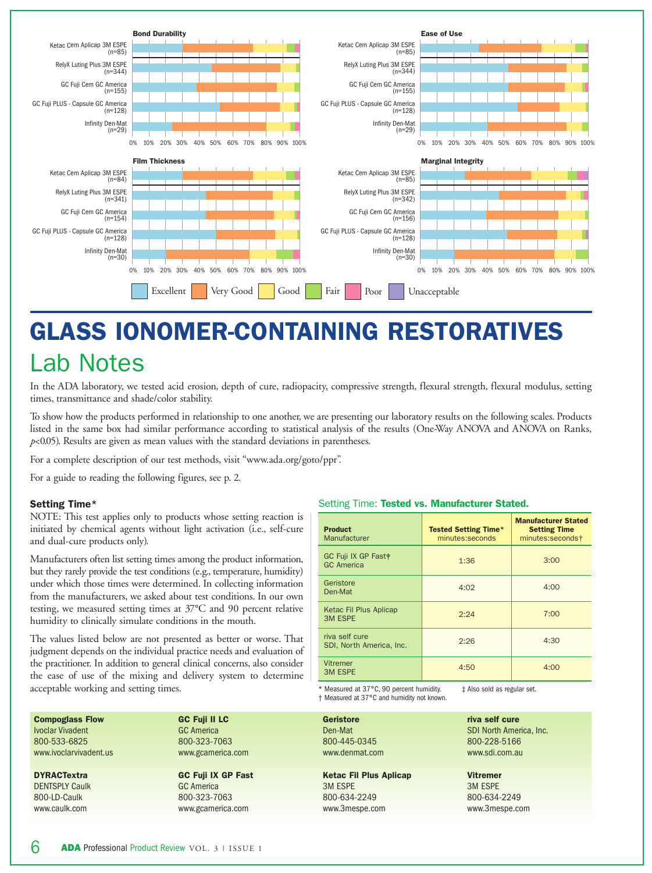

# **GLASS IONOMER-CONTAINING RESTORATIVES** Lab Notes

In the ADA laboratory, we tested acid erosion, depth of cure, radiopacity, compressive strength, flexural strength, flexural modulus, setting times, transmittance and shade/color stability.

To show how the products performed in relationship to one another, we are presenting our laboratory results on the following scales. Products listed in the same box had similar performance according to statistical analysis of the results (One-Way ANOVA and ANOVA on Ranks, *p*<0.05). Results are given as mean values with the standard deviations in parentheses.

For a complete description of our test methods, visit "www.ada.org/goto/ppr".

For a guide to reading the following figures, see p. 2.

## **Setting Time\***

NOTE: This test applies only to products whose setting reaction is initiated by chemical agents without light activation (i.e., self-cure and dual-cure products only).

Manufacturers often list setting times among the product information, but they rarely provide the test conditions (e.g., temperature, humidity) under which those times were determined. In collecting information from the manufacturers, we asked about test conditions. In our own testing, we measured setting times at 37°C and 90 percent relative humidity to clinically simulate conditions in the mouth.

The values listed below are not presented as better or worse. That judgment depends on the individual practice needs and evaluation of the practitioner. In addition to general clinical concerns, also consider the ease of use of the mixing and delivery system to determine acceptable working and setting times.

#### **Compoglass Flow** Ivoclar Vivadent 800-533-6825 www.ivoclarvivadent.us

**DYRACTextra** DENTSPLY Caulk 800-LD-Caulk www.caulk.com

**GC Fuji II LC** GC America 800-323-7063 www.gcamerica.c

**GC Fuji IX GP I** GC America 800-323-7063 www.gcamerica.com

#### Setting Time: **Tested vs. Manufacturer Stated.**

| <b>Product</b><br>Manufacturer                       | <b>Tested Setting Time*</b><br>minutes:seconds | <b>Manufacturer Stated</b><br><b>Setting Time</b><br>minutes:seconds† |
|------------------------------------------------------|------------------------------------------------|-----------------------------------------------------------------------|
| GC Fuji IX GP Fast <sup>†</sup><br><b>GC</b> America | 1:36                                           | 3:00                                                                  |
| Geristore<br>Den-Mat                                 | 4:02                                           | 4:00                                                                  |
| Ketac Fil Plus Aplicap<br><b>3M ESPE</b>             | 2:24                                           | 7:00                                                                  |
| riva self cure<br>SDI, North America, Inc.           | 2:26                                           | 4:30                                                                  |
| Vitremer<br><b>3M ESPE</b>                           | 4:50                                           | 4:00                                                                  |

\* Measured at 37°C, 90 percent humidity. ‡ Also sold as regular set.

† Measured at 37°C and humidity not known.

|      | <b>Geristore</b>              | riva self cure          |
|------|-------------------------------|-------------------------|
|      | Den-Mat                       | SDI North America, Inc. |
|      | 800-445-0345                  | 800-228-5166            |
| om   | www.denmat.com                | www.sdi.com.au          |
|      |                               |                         |
| Fast | <b>Ketac Fil Plus Aplicap</b> | <b>Vitremer</b>         |
|      | <b>3M ESPE</b>                | <b>3M ESPE</b>          |
|      | 800-634-2249                  | 800-634-2249            |
| оm   | www.3mespe.com                | www.3mespe.com          |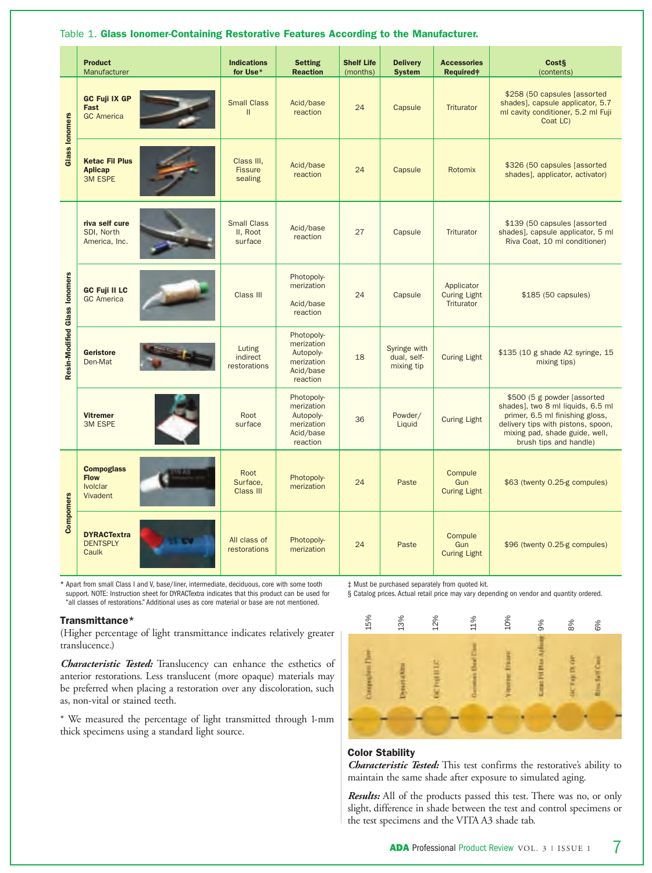|                               | <b>Product</b><br>Manufacturer                                  | <b>Indications</b><br>for Use*            | <b>Setting</b><br><b>Reaction</b>                                            | <b>Shelf Life</b><br>(months) | <b>Delivery</b><br><b>System</b>          | <b>Accessories</b><br><b>Required</b> #         | Cost§<br>(contents)                                                                                                                                                                                    |
|-------------------------------|-----------------------------------------------------------------|-------------------------------------------|------------------------------------------------------------------------------|-------------------------------|-------------------------------------------|-------------------------------------------------|--------------------------------------------------------------------------------------------------------------------------------------------------------------------------------------------------------|
| <b>Glass lonomers</b>         | <b>GC Fuji IX GP</b><br>Fast<br><b>GC</b> America               | <b>Small Class</b><br>$\mathbf{II}$       | Acid/base<br>reaction                                                        | 24                            | Capsule                                   | Triturator                                      | \$258 (50 capsules [assorted<br>shades], capsule applicator, 5.7<br>ml cavity conditioner, 5.2 ml Fuji<br>Coat LC)                                                                                     |
|                               | <b>Ketac Fil Plus</b><br><b>Aplicap</b><br><b>3M ESPE</b>       | Class III.<br><b>Fissure</b><br>sealing   | Acid/base<br>reaction                                                        | 24                            | Capsule                                   | Rotomix                                         | \$326 (50 capsules [assorted<br>shades], applicator, activator)                                                                                                                                        |
|                               | riva self cure<br>SDI, North<br>America, Inc.                   | <b>Small Class</b><br>II. Root<br>surface | Acid/base<br>reaction                                                        | 27                            | Capsule                                   | Triturator                                      | \$139 (50 capsules [assorted]<br>shades], capsule applicator, 5 ml<br>Riva Coat, 10 ml conditioner)                                                                                                    |
| Resin-Modified Glass lonomers | <b>GC Fuji II LC</b><br><b>GC</b> America                       | Class III                                 | Photopoly-<br>merization<br>Acid/base<br>reaction                            | 24                            | Capsule                                   | Applicator<br><b>Curing Light</b><br>Triturator | $$185$ (50 capsules)                                                                                                                                                                                   |
|                               | <b>Geristore</b><br>Den-Mat                                     | Luting<br>indirect<br>restorations        | Photopoly-<br>merization<br>Autopoly-<br>merization<br>Acid/base<br>reaction | 18                            | Syringe with<br>dual, self-<br>mixing tip | <b>Curing Light</b>                             | \$135 (10 g shade A2 syringe, 15<br>mixing tips)                                                                                                                                                       |
|                               | <b>Vitremer</b><br><b>3M ESPE</b>                               | Root<br>surface                           | Photopoly-<br>merization<br>Autopoly-<br>merization<br>Acid/base<br>reaction | 36                            | Powder/<br>Liquid                         | <b>Curing Light</b>                             | \$500 (5 g powder [assorted]<br>shades], two 8 ml liquids, 6.5 ml<br>primer, 6.5 ml finishing gloss,<br>delivery tips with pistons, spoon,<br>mixing pad, shade guide, well,<br>brush tips and handle) |
|                               | <b>Compoglass</b><br><b>Flow</b><br><b>Ivolclar</b><br>Vivadent | Root<br>Surface,<br>Class III             | Photopoly-<br>merization                                                     | 24                            | Paste                                     | Compule<br>Gun<br><b>Curing Light</b>           | \$63 (twenty 0.25-g compules)                                                                                                                                                                          |
| Compomers                     | <b>DYRACTextra</b><br><b>DENTSPLY</b><br>Caulk                  | All class of<br>restorations              | Photopoly-<br>merization                                                     | 24                            | Paste                                     | Compule<br>Gun<br><b>Curing Light</b>           | \$96 (twenty 0.25-g compules)                                                                                                                                                                          |

### Table 1. **Glass Ionomer-Containing Restorative Features According to the Manufacturer.**

\* Apart from small Class I and V, base/liner, intermediate, deciduous, core with some tooth support. NOTE: Instruction sheet for DYRACTextra indicates that this product can be used for "all classes of restorations." Additional uses as core material or base are not mentioned.

### **Transmittance\***

(Higher percentage of light transmittance indicates relatively greater translucence.)

*Characteristic Tested:* Translucency can enhance the esthetics of anterior restorations. Less translucent (more opaque) materials may be preferred when placing a restoration over any discoloration, such as, non-vital or stained teeth.

\* We measured the percentage of light transmitted through 1-mm thick specimens using a standard light source.

‡ Must be purchased separately from quoted kit.

§ Catalog prices. Actual retail price may vary depending on vendor and quantity ordered.



## **Color Stability**

*Characteristic Tested:* This test confirms the restorative's ability to maintain the same shade after exposure to simulated aging.

*Results:* All of the products passed this test. There was no, or only slight, difference in shade between the test and control specimens or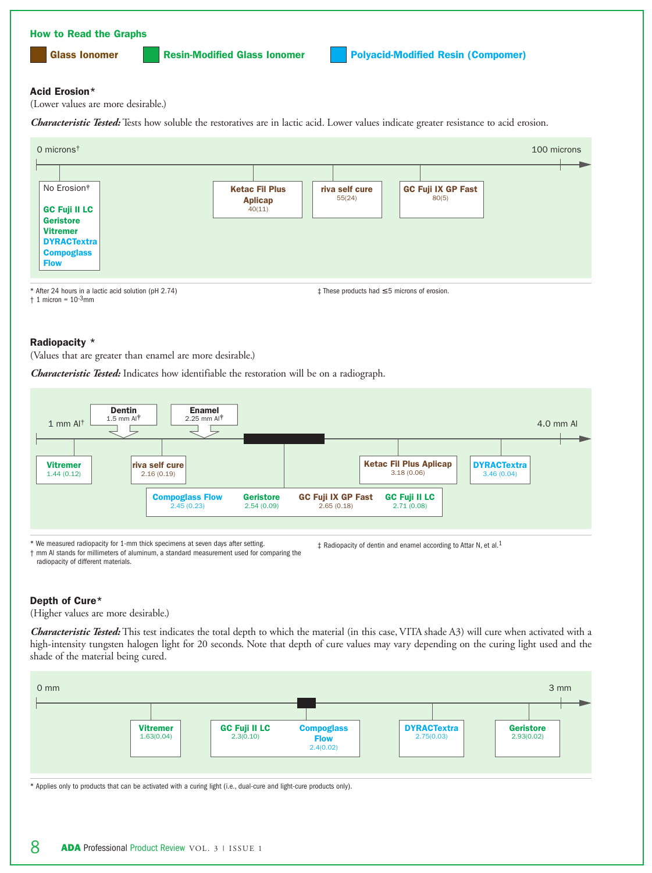

40(11)

\* After 24 hours in a lactic acid solution (pH 2.74)  $\dagger$  1 micron =  $10^{-3}$ mm

#### ‡ These products had ≤ 5 microns of erosion.

#### **Radiopacity \***

**GC Fuji II LC Geristore Vitremer DYRACTextra Compoglass Flow**

(Values that are greater than enamel are more desirable.)

*Characteristic Tested:* Indicates how identifiable the restoration will be on a radiograph.



\* We measured radiopacity for 1-mm thick specimens at seven days after setting.

† mm Al stands for millimeters of aluminum, a standard measurement used for comparing the radiopacity of different materials.

‡ Radiopacity of dentin and enamel according to Attar N, et al.1

## **Depth of Cure\***

(Higher values are more desirable.)

*Characteristic Tested:* This test indicates the total depth to which the material (in this case, VITA shade A3) will cure when activated with a high-intensity tungsten halogen light for 20 seconds. Note that depth of cure values may vary depending on the curing light used and the shade of the material being cured.



\* Applies only to products that can be activated with a curing light (i.e., dual-cure and light-cure products only).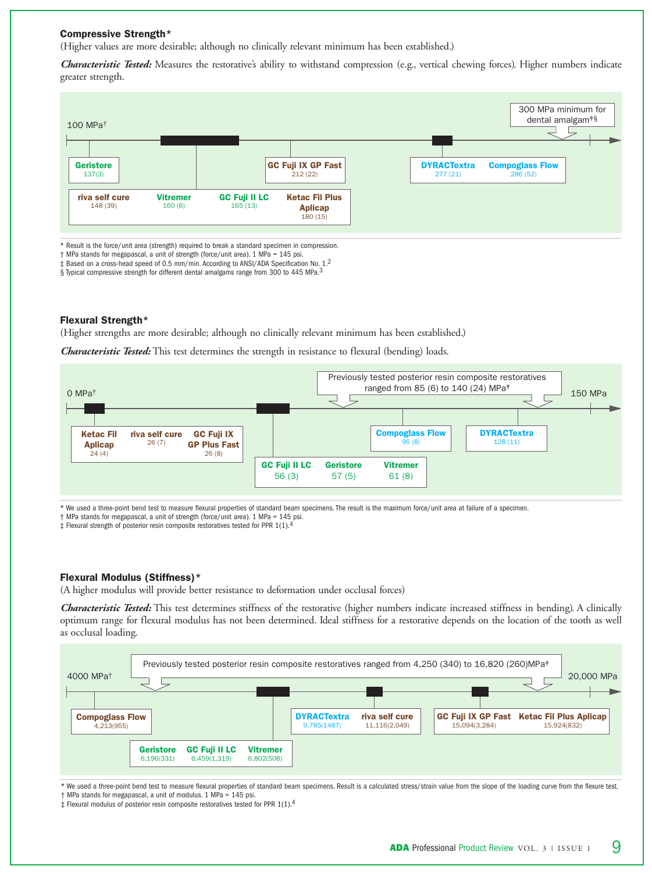### **Compressive Strength\***

(Higher values are more desirable; although no clinically relevant minimum has been established.)

*Characteristic Tested:* Measures the restorative's ability to withstand compression (e.g., vertical chewing forces). Higher numbers indicate greater strength.



\* Result is the force/unit area (strength) required to break a standard specimen in compression.

† MPa stands for megapascal, a unit of strength (force/unit area). 1 MPa = 145 psi.

‡ Based on a cross-head speed of 0.5 mm/min. According to ANSI/ADA Specification No. 1.2

§ Typical compressive strength for different dental amalgams range from 300 to 445 MPa.<sup>3</sup>

#### **Flexural Strength\***

(Higher strengths are more desirable; although no clinically relevant minimum has been established.)

*Characteristic Tested:* This test determines the strength in resistance to flexural (bending) loads.



\* We used a three-point bend test to measure flexural properties of standard beam specimens. The result is the maximum force/unit area at failure of a specimen.

† MPa stands for megapascal, a unit of strength (force/unit area). 1 MPa = 145 psi.

‡ Flexural strength of posterior resin composite restoratives tested for PPR 1(1).4

#### **Flexural Modulus (Stiffness)\***

(A higher modulus will provide better resistance to deformation under occlusal forces)

*Characteristic Tested:* This test determines stiffness of the restorative (higher numbers indicate increased stiffness in bending). A clinically optimum range for flexural modulus has not been determined. Ideal stiffness for a restorative depends on the location of the tooth as well as occlusal loading.



\* We used a three-point bend test to measure flexural properties of standard beam specimens. Result is a calculated stress/strain value from the slope of the loading curve from the flexure test. † MPa stands for megapascal, a unit of modulus. 1 MPa = 145 psi.

 $\ddagger$  Flexural modulus of posterior resin composite restoratives tested for PPR 1(1).<sup>4</sup>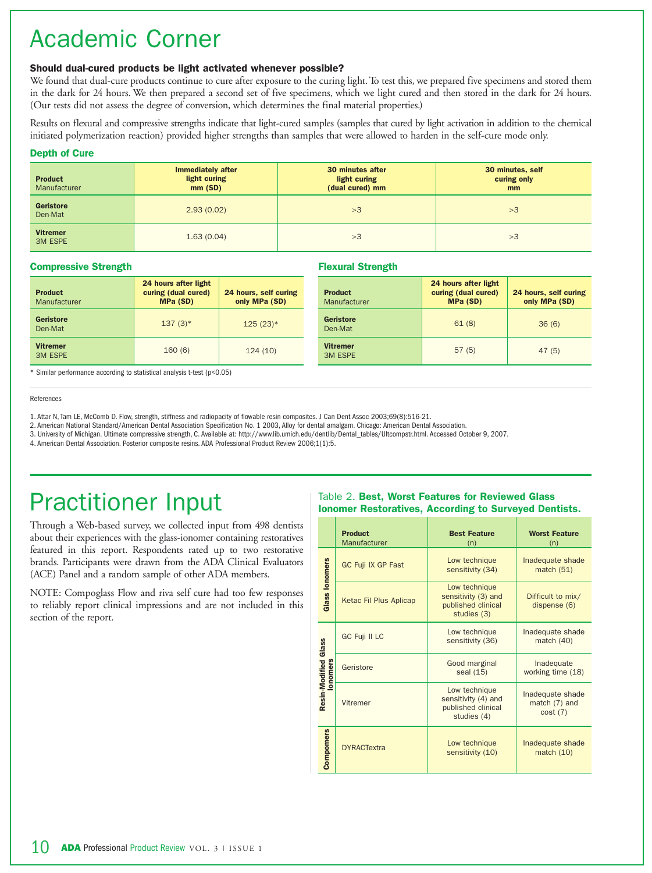## Academic Corner

## **Should dual-cured products be light activated whenever possible?**

We found that dual-cure products continue to cure after exposure to the curing light. To test this, we prepared five specimens and stored them in the dark for 24 hours. We then prepared a second set of five specimens, which we light cured and then stored in the dark for 24 hours. (Our tests did not assess the degree of conversion, which determines the final material properties.)

Results on flexural and compressive strengths indicate that light-cured samples (samples that cured by light activation in addition to the chemical initiated polymerization reaction) provided higher strengths than samples that were allowed to harden in the self-cure mode only.

## **Depth of Cure**

| <b>Product</b><br>Manufacturer    | <b>Immediately after</b><br>light curing<br>mm(SD) | 30 minutes after<br>light curing<br>(dual cured) mm | 30 minutes, self<br>curing only<br>mm |
|-----------------------------------|----------------------------------------------------|-----------------------------------------------------|---------------------------------------|
| <b>Geristore</b><br>Den-Mat       | 2.93(0.02)                                         | >3                                                  | >3                                    |
| <b>Vitremer</b><br><b>3M ESPE</b> | 1.63(0.04)                                         | >3                                                  | >3                                    |

## **Compressive Strength**

| <b>Product</b><br>Manufacturer    | 24 hours after light<br>curing (dual cured)<br><b>MPa (SD)</b> | 24 hours, self curing<br>only MPa (SD) | <b>Product</b><br>Manufacturer    | 24 hours after light<br>curing (dual cured)<br><b>MPa (SD)</b> | 24 hours, self curing<br>only MPa (SD) |
|-----------------------------------|----------------------------------------------------------------|----------------------------------------|-----------------------------------|----------------------------------------------------------------|----------------------------------------|
| Geristore<br>Den-Mat              | $137(3)*$                                                      | $125(23)*$                             | Geristore<br>Den-Mat              | 61(8)                                                          | 36(6)                                  |
| <b>Vitremer</b><br><b>3M ESPE</b> | 160(6)                                                         | 124(10)                                | <b>Vitremer</b><br><b>3M ESPE</b> | 57(5)                                                          | 47(5)                                  |

**Flexural Strength**

\* Similar performance according to statistical analysis t-test (p<0.05)

#### References

1. Attar N, Tam LE, McComb D. Flow, strength, stiffness and radiopacity of flowable resin composites. J Can Dent Assoc 2003;69(8):516-21.

2. American National Standard/American Dental Association Specification No. 1 2003, Alloy for dental amalgam. Chicago: American Dental Association.

3. University of Michigan. Ultimate compressive strength, C. Available at: http://www.lib.umich.edu/dentlib/Dental\_tables/Ultcompstr.html. Accessed October 9, 2007.

4. American Dental Association. Posterior composite resins. ADA Professional Product Review 2006;1(1):5.

## Practitioner Input

Through a Web-based survey, we collected input from 498 dentists about their experiences with the glass-ionomer containing restoratives featured in this report. Respondents rated up to two restorative brands. Participants were drawn from the ADA Clinical Evaluators (ACE) Panel and a random sample of other ADA members.

NOTE: Compoglass Flow and riva self cure had too few responses to reliably report clinical impressions and are not included in this section of the report.

## Table 2. **Best, Worst Features for Reviewed Glass Ionomer Restoratives, According to Surveyed Dentists.**

|                                  | <b>Product</b><br>Manufacturer | <b>Best Feature</b><br>(n)                                                | <b>Worst Feature</b><br>(n)                  |
|----------------------------------|--------------------------------|---------------------------------------------------------------------------|----------------------------------------------|
|                                  | <b>GC Fuji IX GP Fast</b>      | Low technique<br>sensitivity (34)                                         | Inadequate shade<br>match $(51)$             |
| <b>Glass lonomers</b>            | Ketac Fil Plus Aplicap         | Low technique<br>sensitivity (3) and<br>published clinical<br>studies (3) | Difficult to mix/<br>dispense (6)            |
|                                  | <b>GC Fuji II LC</b>           | Low technique<br>sensitivity (36)                                         | Inadequate shade<br>match $(40)$             |
| Resin-Modified Glass<br>lonomers | Geristore                      | Good marginal<br>seal (15)                                                | Inadequate<br>working time (18)              |
|                                  | Vitremer                       | Low technique<br>sensitivity (4) and<br>published clinical<br>studies (4) | Inadequate shade<br>match (7) and<br>cost(7) |
| Compomers                        | <b>DYRACTextra</b>             | Low technique<br>sensitivity (10)                                         | Inadequate shade<br>match $(10)$             |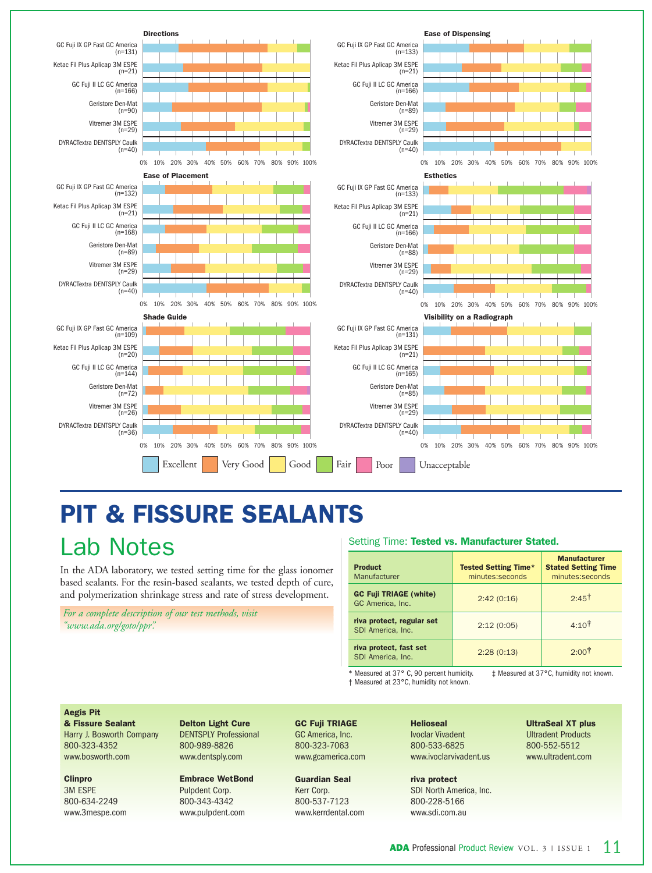

# **PIT & FISSURE SEALANTS**

## Lab Notes

In the ADA laboratory, we tested setting time for the glass ionomer based sealants. For the resin-based sealants, we tested depth of cure, and polymerization shrinkage stress and rate of stress development.

*For a complete description of our test methods, visit "www.ada.org/goto/ppr".*

## Setting Time: **Tested vs. Manufacturer Stated.**

| <b>Product</b><br>Manufacturer                    | <b>Tested Setting Time*</b><br>minutes:seconds | <b>Manufacturer</b><br><b>Stated Setting Time</b><br>minutes:seconds |
|---------------------------------------------------|------------------------------------------------|----------------------------------------------------------------------|
| <b>GC Fuji TRIAGE (white)</b><br>GC America, Inc. | 2:42(0:16)                                     | $2.45$ <sup>†</sup>                                                  |
| riva protect, regular set<br>SDI America, Inc.    | 2:12(0:05)                                     | $4:10^{\frac{1}{3}}$                                                 |
| riva protect, fast set<br>SDI America. Inc.       | 2:28(0:13)                                     | $2:00^+$                                                             |

\* Measured at 37° C, 90 percent humidity. † Measured at 23°C, humidity not known.

‡ Measured at 37°C, humidity not known.

#### **Aegis Pit**

**& Fissure Sealant** Harry J. Bosworth Company 800-323-4352 www.bosworth.com

#### **Clinpro**

3M ESPE 800-634-2249 www.3mespe.com **Delton Light Cure** DENTSPLY Professional 800-989-8826 www.dentsply.com

#### **Embrace WetBond** Pulpdent Corp. 800-343-4342 www.pulpdent.com

## **GC Fuji TRIAGE**  GC America, Inc.

800-323-7063 www.gcamerica.com

**Guardian Seal** Kerr Corp. 800-537-7123 www.kerrdental.com **Helioseal** Ivoclar Vivadent 800-533-6825 www.ivoclarvivadent.us

**riva protect** SDI North America, Inc. 800-228-5166 www.sdi.com.au

**UltraSeal XT plus** Ultradent Products 800-552-5512 www.ultradent.com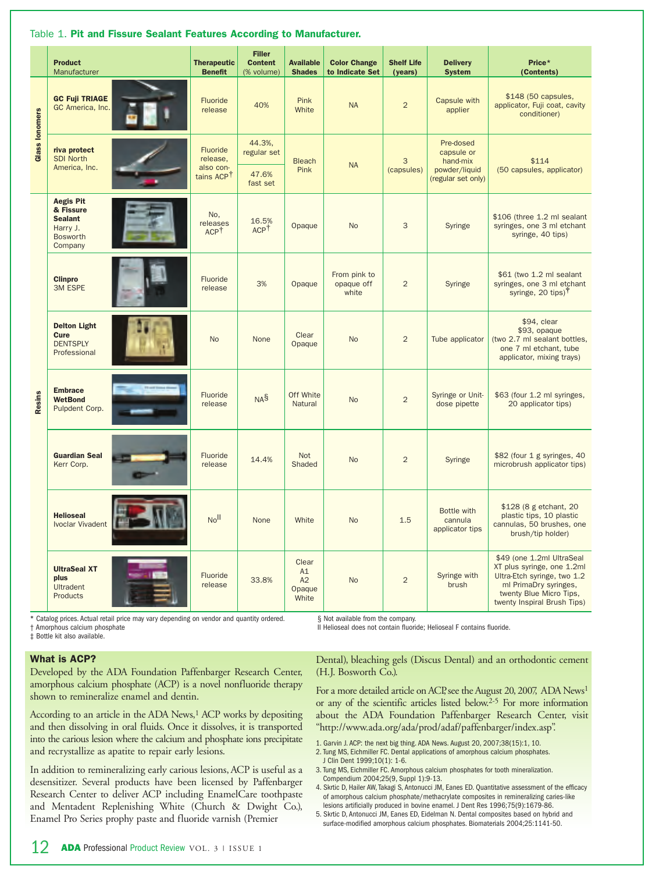|                       | <b>Product</b><br>Manufacturer                                                            | <b>Therapeutic</b><br><b>Benefit</b>                        | <b>Filler</b><br><b>Content</b><br>(% volume) | <b>Available</b><br><b>Shades</b>    | <b>Color Change</b><br>to Indicate Set | <b>Shelf Life</b><br>(years) | <b>Delivery</b><br><b>System</b>                                           | Price*<br>(Contents)                                                                                                                                                      |
|-----------------------|-------------------------------------------------------------------------------------------|-------------------------------------------------------------|-----------------------------------------------|--------------------------------------|----------------------------------------|------------------------------|----------------------------------------------------------------------------|---------------------------------------------------------------------------------------------------------------------------------------------------------------------------|
| <b>Glass lonomers</b> | <b>GC Fuji TRIAGE</b><br>GC America, Inc.                                                 | Fluoride<br>release                                         | 40%                                           | Pink<br>White                        | <b>NA</b>                              | $\overline{2}$               | Capsule with<br>applier                                                    | \$148 (50 capsules,<br>applicator, Fuji coat, cavity<br>conditioner)                                                                                                      |
|                       | riva protect<br><b>SDI North</b><br>America, Inc.                                         | Fluoride<br>release.<br>also con-<br>tains ACP <sup>†</sup> | 44.3%,<br>regular set                         | <b>Bleach</b><br>Pink                | <b>NA</b>                              | 3<br>(capsules)              | Pre-dosed<br>capsule or<br>hand-mix<br>powder/liquid<br>(regular set only) | \$114<br>(50 capsules, applicator)                                                                                                                                        |
|                       |                                                                                           |                                                             | 47.6%<br>fast set                             |                                      |                                        |                              |                                                                            |                                                                                                                                                                           |
| Resins                | <b>Aegis Pit</b><br>& Fissure<br><b>Sealant</b><br>Harry J.<br><b>Bosworth</b><br>Company | No,<br>releases<br>ACP <sup>T</sup>                         | 16.5%<br>ACP <sup>T</sup>                     | Opaque                               | <b>No</b>                              | 3                            | Syringe                                                                    | \$106 (three 1.2 ml sealant<br>syringes, one 3 ml etchant<br>syringe, 40 tips)                                                                                            |
|                       | <b>Clinpro</b><br><b>3M ESPE</b>                                                          | Fluoride<br>release                                         | 3%                                            | Opaque                               | From pink to<br>opaque off<br>white    | $\overline{2}$               | Syringe                                                                    | \$61 (two 1.2 ml sealant<br>syringes, one 3 ml etchant<br>syringe, 20 tips) <sup>†</sup>                                                                                  |
|                       | <b>Delton Light</b><br>Cure<br><b>DENTSPLY</b><br>Professional                            | <b>No</b>                                                   | None                                          | Clear<br>Opaque                      | <b>No</b>                              | $\overline{2}$               | Tube applicator                                                            | \$94, clear<br>\$93, opaque<br>(two 2.7 ml sealant bottles,<br>one 7 ml etchant, tube<br>applicator, mixing trays)                                                        |
|                       | <b>Embrace</b><br><b>WetBond</b><br>Pulpdent Corp.                                        | Fluoride<br>release                                         | NA <sup>S</sup>                               | Off White<br>Natural                 | <b>No</b>                              | $\overline{2}$               | Syringe or Unit-<br>dose pipette                                           | \$63 (four 1.2 ml syringes,<br>20 applicator tips)                                                                                                                        |
|                       | <b>Guardian Seal</b><br>Kerr Corp.                                                        | Fluoride<br>release                                         | 14.4%                                         | <b>Not</b><br>Shaded                 | <b>No</b>                              | $\overline{2}$               | Syringe                                                                    | \$82 (four 1 g syringes, 40<br>microbrush applicator tips)                                                                                                                |
|                       | <b>Helioseal</b><br><b>Ivoclar Vivadent</b>                                               | Noll                                                        | None                                          | White                                | <b>No</b>                              | 1.5                          | Bottle with<br>cannula<br>applicator tips                                  | \$128 (8 g etchant, 20<br>plastic tips, 10 plastic<br>cannulas, 50 brushes, one<br>brush/tip holder)                                                                      |
|                       | <b>UltraSeal XT</b><br>plus<br>Ultradent<br>Products                                      | Fluoride<br>release                                         | 33.8%                                         | Clear<br>A1<br>A2<br>Opaque<br>White | <b>No</b>                              | $\overline{2}$               | Syringe with<br>brush                                                      | \$49 (one 1.2ml UltraSeal<br>XT plus syringe, one 1.2ml<br>Ultra-Etch syringe, two 1.2<br>ml PrimaDry syringes,<br>twenty Blue Micro Tips,<br>twenty Inspiral Brush Tips) |

## Table 1. **Pit and Fissure Sealant Features According to Manufacturer.**

\* Catalog prices. Actual retail price may vary depending on vendor and quantity ordered. † Amorphous calcium phosphate

‡ Bottle kit also available.

§ Not available from the company.

II Helioseal does not contain fluoride; Helioseal F contains fluoride.

#### **What is ACP?**

Developed by the ADA Foundation Paffenbarger Research Center, amorphous calcium phosphate (ACP) is a novel nonfluoride therapy shown to remineralize enamel and dentin.

According to an article in the ADA News,<sup>1</sup> ACP works by depositing and then dissolving in oral fluids. Once it dissolves, it is transported into the carious lesion where the calcium and phosphate ions precipitate and recrystallize as apatite to repair early lesions.

In addition to remineralizing early carious lesions, ACP is useful as a desensitizer. Several products have been licensed by Paffenbarger Research Center to deliver ACP including EnamelCare toothpaste and Mentadent Replenishing White (Church & Dwight Co.), Enamel Pro Series prophy paste and fluoride varnish (Premier

Dental), bleaching gels (Discus Dental) and an orthodontic cement (H.J. Bosworth Co.).

For a more detailed article on ACP, see the August 20, 2007, ADA News<sup>1</sup> or any of the scientific articles listed below.2-5 For more information about the ADA Foundation Paffenbarger Research Center, visit "http://www.ada.org/ada/prod/adaf/paffenbarger/index.asp".

- 1. Garvin J. ACP: the next big thing. ADA News. August 20, 2007;38(15):1, 10. 2. Tung MS, Eichmiller FC. Dental applications of amorphous calcium phosphates.
- J Clin Dent 1999;10(1): 1-6. 3. Tung MS, Eichmiller FC. Amorphous calcium phosphates for tooth mineralization.
- Compendium 2004;25(9, Suppl 1):9-13.
- 4. Skrtic D, Hailer AW, Takagi S, Antonucci JM, Eanes ED. Quantitative assessment of the efficacy of amorphous calcium phosphate/methacrylate composites in remineralizing caries-like lesions artificially produced in bovine enamel. J Dent Res 1996;75(9):1679-86.
- 5. Skrtic D, Antonucci JM, Eanes ED, Eidelman N. Dental composites based on hybrid and surface-modified amorphous calcium phosphates. Biomaterials 2004;25:1141-50.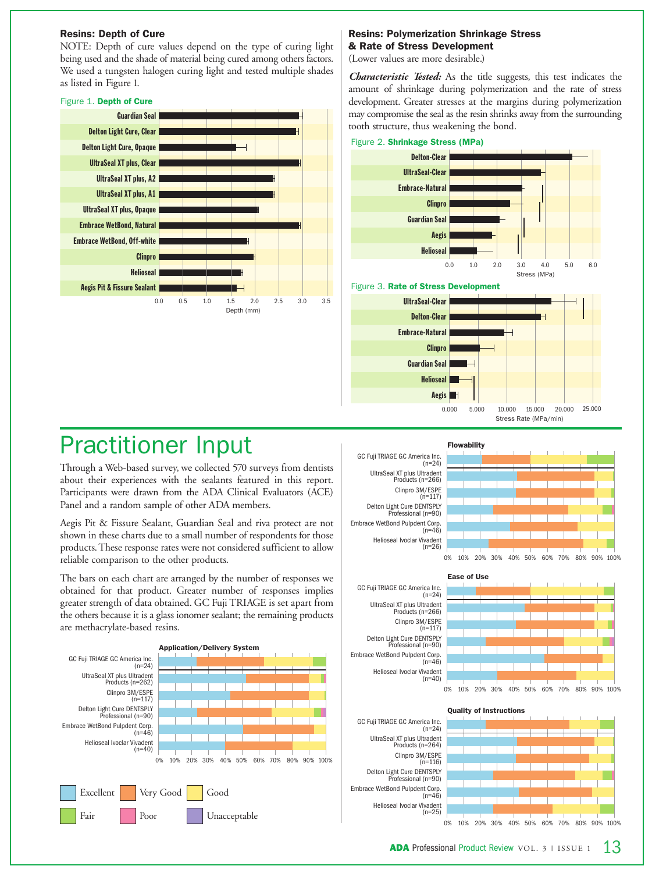## **Resins: Depth of Cure**

NOTE: Depth of cure values depend on the type of curing light being used and the shade of material being cured among others factors. We used a tungsten halogen curing light and tested multiple shades as listed in Figure 1.

## Figure 1. **Depth of Cure**



## **Resins: Polymerization Shrinkage Stress & Rate of Stress Development**

(Lower values are more desirable.)

*Characteristic Tested:* As the title suggests, this test indicates the amount of shrinkage during polymerization and the rate of stress development. Greater stresses at the margins during polymerization may compromise the seal as the resin shrinks away from the surrounding tooth structure, thus weakening the bond.



## Practitioner Input

Through a Web-based survey, we collected 570 surveys from dentists about their experiences with the sealants featured in this report. Participants were drawn from the ADA Clinical Evaluators (ACE) Panel and a random sample of other ADA members.

Aegis Pit & Fissure Sealant, Guardian Seal and riva protect are not shown in these charts due to a small number of respondents for those products.These response rates were not considered sufficient to allow reliable comparison to the other products.

The bars on each chart are arranged by the number of responses we obtained for that product. Greater number of responses implies greater strength of data obtained. GC Fuji TRIAGE is set apart from the others because it is a glass ionomer sealant; the remaining products are methacrylate-based resins.











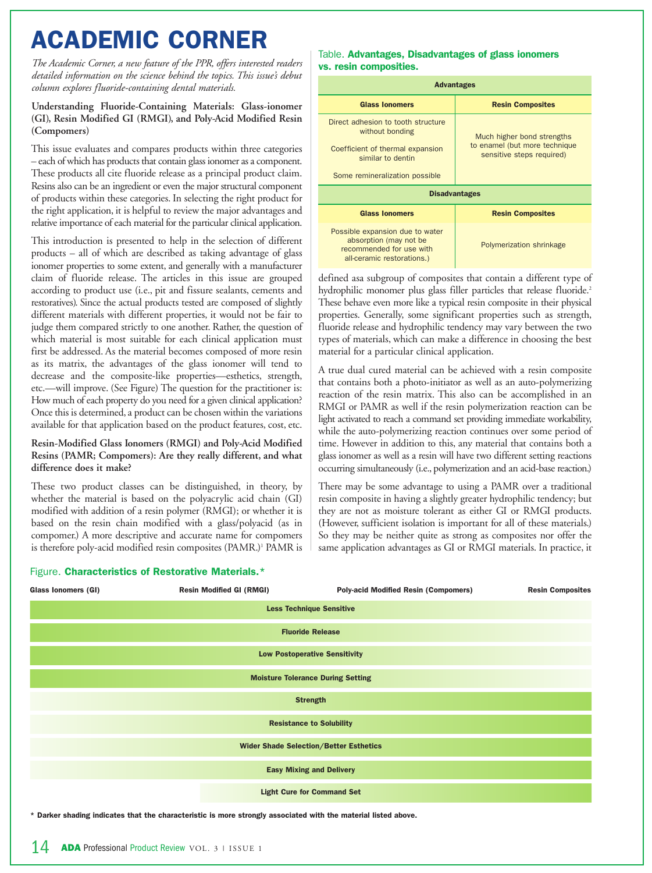## **ACADEMIC CORNER**

*The Academic Corner, a new feature of the PPR, offers interested readers detailed information on the science behind the topics. This issue's debut column explores fluoride-containing dental materials.*

## **Understanding Fluoride-Containing Materials: Glass-ionomer (GI), Resin Modified GI (RMGI), and Poly-Acid Modified Resin (Compomers)**

This issue evaluates and compares products within three categories – each of which has products that contain glass ionomer as a component. These products all cite fluoride release as a principal product claim. Resins also can be an ingredient or even the major structural component of products within these categories. In selecting the right product for the right application, it is helpful to review the major advantages and relative importance of each material for the particular clinical application.

This introduction is presented to help in the selection of different products – all of which are described as taking advantage of glass ionomer properties to some extent, and generally with a manufacturer claim of fluoride release. The articles in this issue are grouped according to product use (i.e., pit and fissure sealants, cements and restoratives). Since the actual products tested are composed of slightly different materials with different properties, it would not be fair to judge them compared strictly to one another. Rather, the question of which material is most suitable for each clinical application must first be addressed. As the material becomes composed of more resin as its matrix, the advantages of the glass ionomer will tend to decrease and the composite-like properties—esthetics, strength, etc.—will improve. (See Figure) The question for the practitioner is: How much of each property do you need for a given clinical application? Once this is determined, a product can be chosen within the variations available for that application based on the product features, cost, etc.

## **Resin-Modified Glass Ionomers (RMGI) and Poly-Acid Modified Resins (PAMR; Compomers): Are they really different, and what difference does it make?**

These two product classes can be distinguished, in theory, by whether the material is based on the polyacrylic acid chain (GI) modified with addition of a resin polymer (RMGI); or whether it is based on the resin chain modified with a glass/polyacid (as in compomer.) A more descriptive and accurate name for compomers is therefore poly-acid modified resin composites (PAMR.)<sup>1</sup> PAMR is

## Table. **Advantages, Disadvantages of glass ionomers vs. resin composities.**

| <b>Advantages</b>                                                                                                                                |                                                                                          |  |  |  |  |  |
|--------------------------------------------------------------------------------------------------------------------------------------------------|------------------------------------------------------------------------------------------|--|--|--|--|--|
| <b>Glass lonomers</b>                                                                                                                            | <b>Resin Composites</b>                                                                  |  |  |  |  |  |
| Direct adhesion to tooth structure<br>without bonding<br>Coefficient of thermal expansion<br>similar to dentin<br>Some remineralization possible | Much higher bond strengths<br>to enamel (but more technique<br>sensitive steps required) |  |  |  |  |  |
| <b>Disadvantages</b>                                                                                                                             |                                                                                          |  |  |  |  |  |
| <b>Glass lonomers</b>                                                                                                                            | <b>Resin Composites</b>                                                                  |  |  |  |  |  |
| Possible expansion due to water<br>absorption (may not be<br>recommended for use with<br>all-ceramic restorations.)                              | Polymerization shrinkage                                                                 |  |  |  |  |  |

defined asa subgroup of composites that contain a different type of hydrophilic monomer plus glass filler particles that release fluoride.<sup>2</sup> These behave even more like a typical resin composite in their physical properties. Generally, some significant properties such as strength, fluoride release and hydrophilic tendency may vary between the two types of materials, which can make a difference in choosing the best material for a particular clinical application.

A true dual cured material can be achieved with a resin composite that contains both a photo-initiator as well as an auto-polymerizing reaction of the resin matrix. This also can be accomplished in an RMGI or PAMR as well if the resin polymerization reaction can be light activated to reach a command set providing immediate workability, while the auto-polymerizing reaction continues over some period of time. However in addition to this, any material that contains both a glass ionomer as well as a resin will have two different setting reactions occurring simultaneously (i.e., polymerization and an acid-base reaction.)

There may be some advantage to using a PAMR over a traditional resin composite in having a slightly greater hydrophilic tendency; but they are not as moisture tolerant as either GI or RMGI products. (However, sufficient isolation is important for all of these materials.) So they may be neither quite as strong as composites nor offer the same application advantages as GI or RMGI materials. In practice, it

## Figure. **Characteristics of Restorative Materials.\***

| Glass Ionomers (GI)                                                                                 | <b>Resin Modified GI (RMGI)</b> | <b>Poly-acid Modified Resin (Compomers)</b> | <b>Resin Composites</b> |  |  |                                 |                                   |  |  |  |  |  |
|-----------------------------------------------------------------------------------------------------|---------------------------------|---------------------------------------------|-------------------------|--|--|---------------------------------|-----------------------------------|--|--|--|--|--|
| <b>Less Technique Sensitive</b>                                                                     |                                 |                                             |                         |  |  |                                 |                                   |  |  |  |  |  |
| <b>Fluoride Release</b>                                                                             |                                 |                                             |                         |  |  |                                 |                                   |  |  |  |  |  |
| <b>Low Postoperative Sensitivity</b>                                                                |                                 |                                             |                         |  |  |                                 |                                   |  |  |  |  |  |
| <b>Moisture Tolerance During Setting</b>                                                            |                                 |                                             |                         |  |  |                                 |                                   |  |  |  |  |  |
| <b>Strength</b><br><b>Resistance to Solubility</b><br><b>Wider Shade Selection/Better Esthetics</b> |                                 |                                             |                         |  |  |                                 |                                   |  |  |  |  |  |
|                                                                                                     |                                 |                                             |                         |  |  | <b>Easy Mixing and Delivery</b> |                                   |  |  |  |  |  |
|                                                                                                     |                                 |                                             |                         |  |  |                                 | <b>Light Cure for Command Set</b> |  |  |  |  |  |

**\* Darker shading indicates that the characteristic is more strongly associated with the material listed above.**